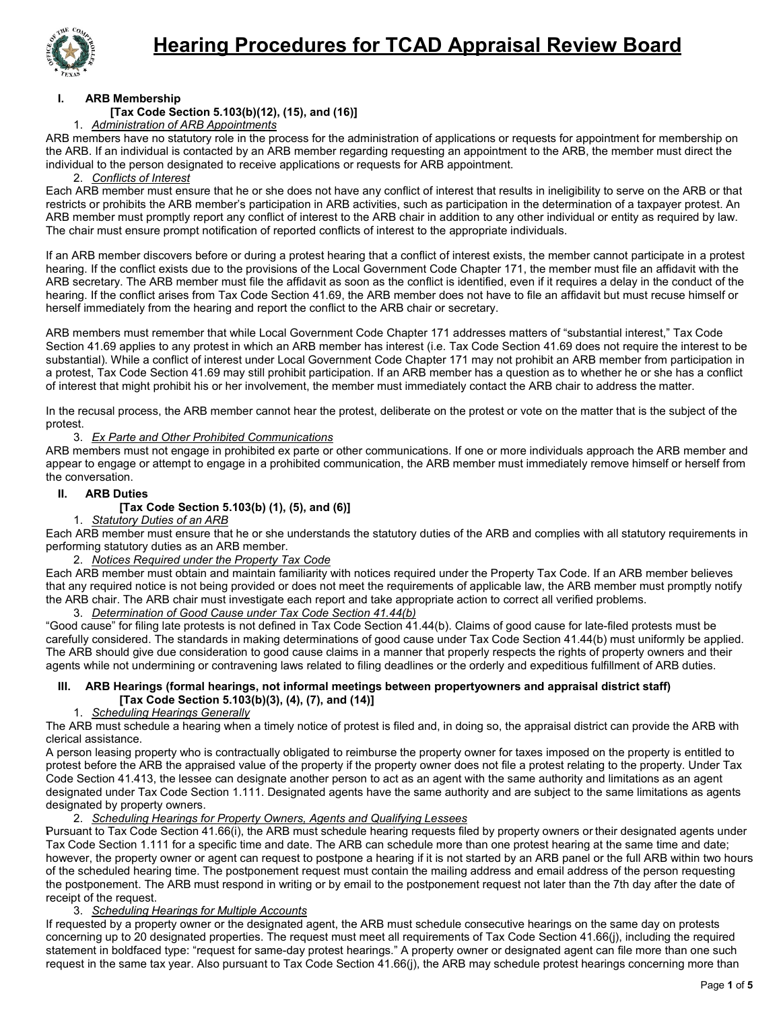

### **I. ARB Membership**

## **[Tax Code Section 5.103(b)(12), (15), and (16)]**

1. *Administration of ARB Appointments*

ARB members have no statutory role in the process for the administration of applications or requests for appointment for membership on the ARB. If an individual is contacted by an ARB member regarding requesting an appointment to the ARB, the member must direct the individual to the person designated to receive applications or requests for ARB appointment.

#### 2. *Conflicts of Interest*

Each ARB member must ensure that he or she does not have any conflict of interest that results in ineligibility to serve on the ARB or that restricts or prohibits the ARB member's participation in ARB activities, such as participation in the determination of a taxpayer protest. An ARB member must promptly report any conflict of interest to the ARB chair in addition to any other individual or entity as required by law. The chair must ensure prompt notification of reported conflicts of interest to the appropriate individuals.

If an ARB member discovers before or during a protest hearing that a conflict of interest exists, the member cannot participate in a protest hearing. If the conflict exists due to the provisions of the Local Government Code Chapter 171, the member must file an affidavit with the ARB secretary. The ARB member must file the affidavit as soon as the conflict is identified, even if it requires a delay in the conduct of the hearing. If the conflict arises from Tax Code Section 41.69, the ARB member does not have to file an affidavit but must recuse himself or herself immediately from the hearing and report the conflict to the ARB chair or secretary.

ARB members must remember that while Local Government Code Chapter 171 addresses matters of "substantial interest," Tax Code Section 41.69 applies to any protest in which an ARB member has interest (i.e. Tax Code Section 41.69 does not require the interest to be substantial). While a conflict of interest under Local Government Code Chapter 171 may not prohibit an ARB member from participation in a protest, Tax Code Section 41.69 may still prohibit participation. If an ARB member has a question as to whether he or she has a conflict of interest that might prohibit his or her involvement, the member must immediately contact the ARB chair to address the matter.

In the recusal process, the ARB member cannot hear the protest, deliberate on the protest or vote on the matter that is the subject of the protest.

#### 3. *Ex Parte and Other Prohibited Communications*

ARB members must not engage in prohibited ex parte or other communications. If one or more individuals approach the ARB member and appear to engage or attempt to engage in a prohibited communication, the ARB member must immediately remove himself or herself from the conversation.

### **II. ARB Duties**

## **[Tax Code Section 5.103(b) (1), (5), and (6)]**

### 1. *Statutory Duties of an ARB*

Each ARB member must ensure that he or she understands the statutory duties of the ARB and complies with all statutory requirements in performing statutory duties as an ARB member.

#### 2. *Notices Required under the Property Tax Code*

Each ARB member must obtain and maintain familiarity with notices required under the Property Tax Code. If an ARB member believes that any required notice is not being provided or does not meet the requirements of applicable law, the ARB member must promptly notify the ARB chair. The ARB chair must investigate each report and take appropriate action to correct all verified problems.

## 3. *Determination of Good Cause under Tax Code Section 41.44(b)*

"Good cause" for filing late protests is not defined in Tax Code Section 41.44(b). Claims of good cause for late-filed protests must be carefully considered. The standards in making determinations of good cause under Tax Code Section 41.44(b) must uniformly be applied. The ARB should give due consideration to good cause claims in a manner that properly respects the rights of property owners and their agents while not undermining or contravening laws related to filing deadlines or the orderly and expeditious fulfillment of ARB duties.

### **III. ARB Hearings (formal hearings, not informal meetings between propertyowners and appraisal district staff) [Tax Code Section 5.103(b)(3), (4), (7), and (14)]**

### 1. *Scheduling Hearings Generally*

The ARB must schedule a hearing when a timely notice of protest is filed and, in doing so, the appraisal district can provide the ARB with clerical assistance.

A person leasing property who is contractually obligated to reimburse the property owner for taxes imposed on the property is entitled to protest before the ARB the appraised value of the property if the property owner does not file a protest relating to the property. Under Tax Code Section 41.413, the lessee can designate another person to act as an agent with the same authority and limitations as an agent designated under Tax Code Section 1.111. Designated agents have the same authority and are subject to the same limitations as agents designated by property owners.

### 2. *Scheduling Hearings for Property Owners, Agents and Qualifying Lessees*

Pursuant to Tax Code Section 41.66(i), the ARB must schedule hearing requests filed by property owners or their designated agents under Tax Code Section 1.111 for a specific time and date. The ARB can schedule more than one protest hearing at the same time and date; however, the property owner or agent can request to postpone a hearing if it is not started by an ARB panel or the full ARB within two hours of the scheduled hearing time. The postponement request must contain the mailing address and email address of the person requesting the postponement. The ARB must respond in writing or by email to the postponement request not later than the 7th day after the date of receipt of the request.

### 3. *Scheduling Hearings for Multiple Accounts*

If requested by a property owner or the designated agent, the ARB must schedule consecutive hearings on the same day on protests concerning up to 20 designated properties. The request must meet all requirements of Tax Code Section 41.66(j), including the required statement in boldfaced type: "request for same-day protest hearings." A property owner or designated agent can file more than one such request in the same tax year. Also pursuant to Tax Code Section 41.66(j), the ARB may schedule protest hearings concerning more than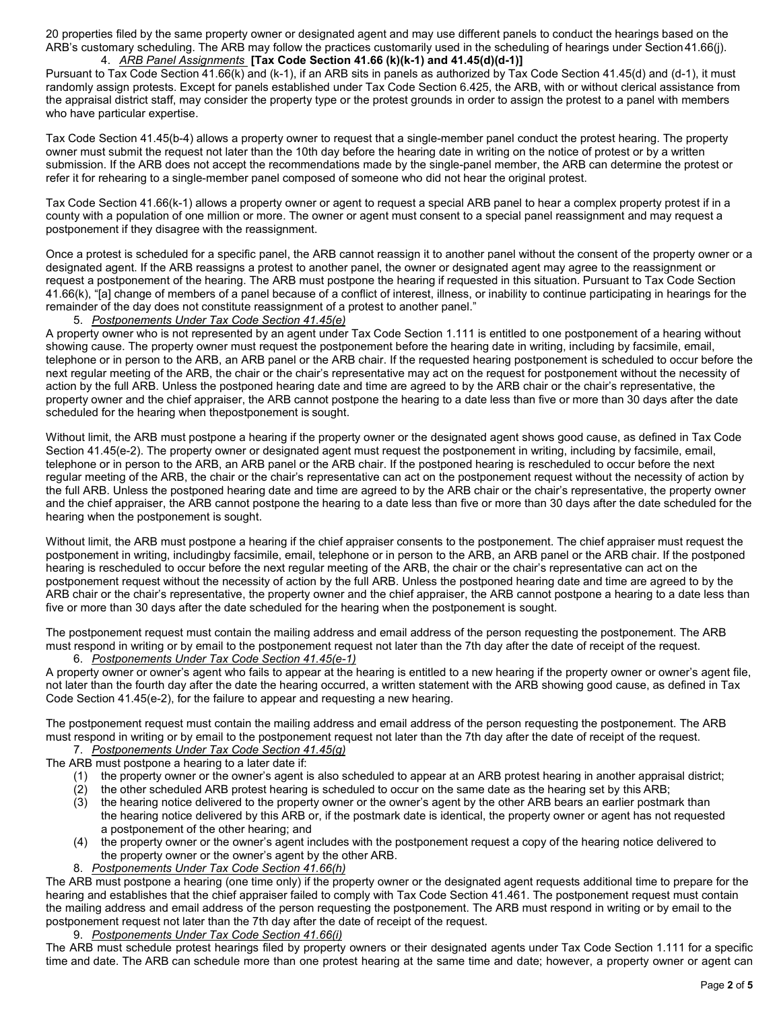20 properties filed by the same property owner or designated agent and may use different panels to conduct the hearings based on the ARB's customary scheduling. The ARB may follow the practices customarily used in the scheduling of hearings under Section41.66(j). 4. *ARB Panel Assignments* **[Tax Code Section 41.66 (k)(k-1) and 41.45(d)(d-1)]**

Pursuant to Tax Code Section 41.66(k) and (k-1), if an ARB sits in panels as authorized by Tax Code Section 41.45(d) and (d-1), it must randomly assign protests. Except for panels established under Tax Code Section 6.425, the ARB, with or without clerical assistance from the appraisal district staff, may consider the property type or the protest grounds in order to assign the protest to a panel with members who have particular expertise.

Tax Code Section 41.45(b-4) allows a property owner to request that a single-member panel conduct the protest hearing. The property owner must submit the request not later than the 10th day before the hearing date in writing on the notice of protest or by a written submission. If the ARB does not accept the recommendations made by the single-panel member, the ARB can determine the protest or refer it for rehearing to a single-member panel composed of someone who did not hear the original protest.

Tax Code Section 41.66(k-1) allows a property owner or agent to request a special ARB panel to hear a complex property protest if in a county with a population of one million or more. The owner or agent must consent to a special panel reassignment and may request a postponement if they disagree with the reassignment.

Once a protest is scheduled for a specific panel, the ARB cannot reassign it to another panel without the consent of the property owner or a designated agent. If the ARB reassigns a protest to another panel, the owner or designated agent may agree to the reassignment or request a postponement of the hearing. The ARB must postpone the hearing if requested in this situation. Pursuant to Tax Code Section 41.66(k), "[a] change of members of a panel because of a conflict of interest, illness, or inability to continue participating in hearings for the remainder of the day does not constitute reassignment of a protest to another panel."

#### 5. *Postponements Under Tax Code Section 41.45(e)*

A property owner who is not represented by an agent under Tax Code Section 1.111 is entitled to one postponement of a hearing without showing cause. The property owner must request the postponement before the hearing date in writing, including by facsimile, email, telephone or in person to the ARB, an ARB panel or the ARB chair. If the requested hearing postponement is scheduled to occur before the next regular meeting of the ARB, the chair or the chair's representative may act on the request for postponement without the necessity of action by the full ARB. Unless the postponed hearing date and time are agreed to by the ARB chair or the chair's representative, the property owner and the chief appraiser, the ARB cannot postpone the hearing to a date less than five or more than 30 days after the date scheduled for the hearing when thepostponement is sought.

Without limit, the ARB must postpone a hearing if the property owner or the designated agent shows good cause, as defined in Tax Code Section 41.45(e-2). The property owner or designated agent must request the postponement in writing, including by facsimile, email, telephone or in person to the ARB, an ARB panel or the ARB chair. If the postponed hearing is rescheduled to occur before the next regular meeting of the ARB, the chair or the chair's representative can act on the postponement request without the necessity of action by the full ARB. Unless the postponed hearing date and time are agreed to by the ARB chair or the chair's representative, the property owner and the chief appraiser, the ARB cannot postpone the hearing to a date less than five or more than 30 days after the date scheduled for the hearing when the postponement is sought.

Without limit, the ARB must postpone a hearing if the chief appraiser consents to the postponement. The chief appraiser must request the postponement in writing, includingby facsimile, email, telephone or in person to the ARB, an ARB panel or the ARB chair. If the postponed hearing is rescheduled to occur before the next regular meeting of the ARB, the chair or the chair's representative can act on the postponement request without the necessity of action by the full ARB. Unless the postponed hearing date and time are agreed to by the ARB chair or the chair's representative, the property owner and the chief appraiser, the ARB cannot postpone a hearing to a date less than five or more than 30 days after the date scheduled for the hearing when the postponement is sought.

The postponement request must contain the mailing address and email address of the person requesting the postponement. The ARB must respond in writing or by email to the postponement request not later than the 7th day after the date of receipt of the request. 6. *Postponements Under Tax Code Section 41.45(e-1)*

A property owner or owner's agent who fails to appear at the hearing is entitled to a new hearing if the property owner or owner's agent file, not later than the fourth day after the date the hearing occurred, a written statement with the ARB showing good cause, as defined in Tax Code Section 41.45(e-2), for the failure to appear and requesting a new hearing.

The postponement request must contain the mailing address and email address of the person requesting the postponement. The ARB must respond in writing or by email to the postponement request not later than the 7th day after the date of receipt of the request.

7. *Postponements Under Tax Code Section 41.45(g)*

The ARB must postpone a hearing to a later date if:

- (1) the property owner or the owner's agent is also scheduled to appear at an ARB protest hearing in another appraisal district;
- (2) the other scheduled ARB protest hearing is scheduled to occur on the same date as the hearing set by this ARB;
- (3) the hearing notice delivered to the property owner or the owner's agent by the other ARB bears an earlier postmark than the hearing notice delivered by this ARB or, if the postmark date is identical, the property owner or agent has not requested a postponement of the other hearing; and
- (4) the property owner or the owner's agent includes with the postponement request a copy of the hearing notice delivered to the property owner or the owner's agent by the other ARB.
- 8. *Postponements Under Tax Code Section 41.66(h)*

The ARB must postpone a hearing (one time only) if the property owner or the designated agent requests additional time to prepare for the hearing and establishes that the chief appraiser failed to comply with Tax Code Section 41.461. The postponement request must contain the mailing address and email address of the person requesting the postponement. The ARB must respond in writing or by email to the postponement request not later than the 7th day after the date of receipt of the request.

9. *Postponements Under Tax Code Section 41.66(i)*

The ARB must schedule protest hearings filed by property owners or their designated agents under Tax Code Section 1.111 for a specific time and date. The ARB can schedule more than one protest hearing at the same time and date; however, a property owner or agent can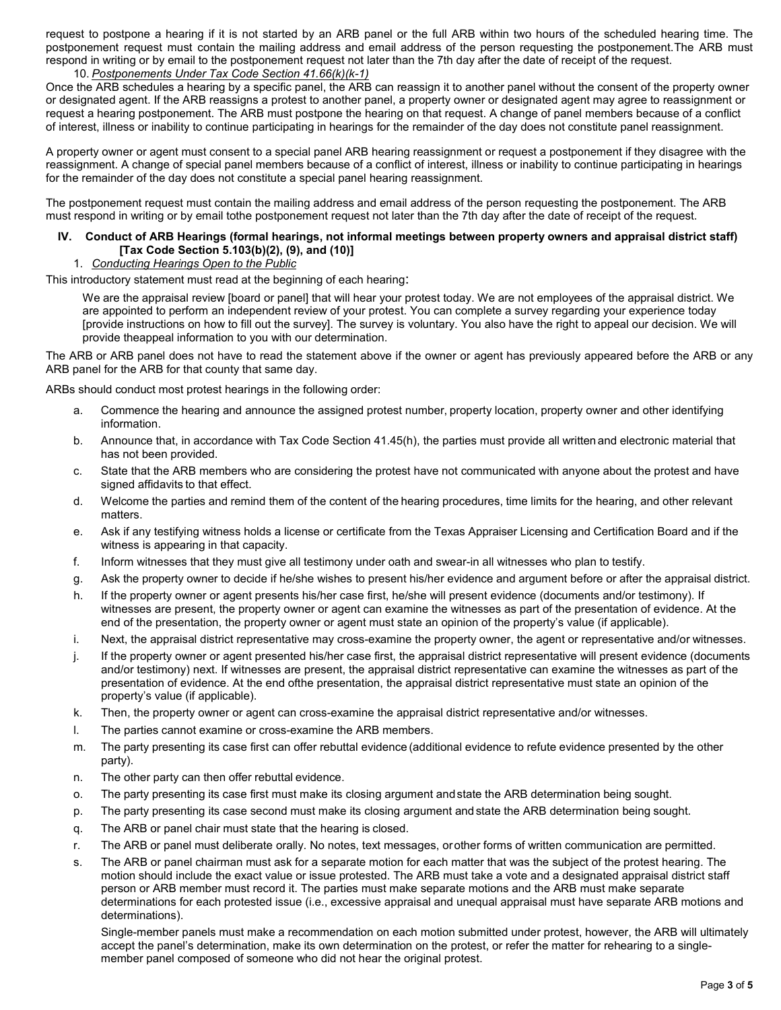request to postpone a hearing if it is not started by an ARB panel or the full ARB within two hours of the scheduled hearing time. The postponement request must contain the mailing address and email address of the person requesting the postponement.The ARB must respond in writing or by email to the postponement request not later than the 7th day after the date of receipt of the request.

### 10. *Postponements Under Tax Code Section 41.66(k)(k-1)*

Once the ARB schedules a hearing by a specific panel, the ARB can reassign it to another panel without the consent of the property owner or designated agent. If the ARB reassigns a protest to another panel, a property owner or designated agent may agree to reassignment or request a hearing postponement. The ARB must postpone the hearing on that request. A change of panel members because of a conflict of interest, illness or inability to continue participating in hearings for the remainder of the day does not constitute panel reassignment.

A property owner or agent must consent to a special panel ARB hearing reassignment or request a postponement if they disagree with the reassignment. A change of special panel members because of a conflict of interest, illness or inability to continue participating in hearings for the remainder of the day does not constitute a special panel hearing reassignment.

The postponement request must contain the mailing address and email address of the person requesting the postponement. The ARB must respond in writing or by email tothe postponement request not later than the 7th day after the date of receipt of the request.

### **IV. Conduct of ARB Hearings (formal hearings, not informal meetings between property owners and appraisal district staff) [Tax Code Section 5.103(b)(2), (9), and (10)]**

### 1. *Conducting Hearings Open to the Public*

This introductory statement must read at the beginning of each hearing:

We are the appraisal review [board or panel] that will hear your protest today. We are not employees of the appraisal district. We are appointed to perform an independent review of your protest. You can complete a survey regarding your experience today [provide instructions on how to fill out the survey]. The survey is voluntary. You also have the right to appeal our decision. We will provide theappeal information to you with our determination.

The ARB or ARB panel does not have to read the statement above if the owner or agent has previously appeared before the ARB or any ARB panel for the ARB for that county that same day.

ARBs should conduct most protest hearings in the following order:

- a. Commence the hearing and announce the assigned protest number, property location, property owner and other identifying information.
- b. Announce that, in accordance with Tax Code Section 41.45(h), the parties must provide all written and electronic material that has not been provided.
- c. State that the ARB members who are considering the protest have not communicated with anyone about the protest and have signed affidavits to that effect.
- d. Welcome the parties and remind them of the content of the hearing procedures, time limits for the hearing, and other relevant matters.
- e. Ask if any testifying witness holds a license or certificate from the Texas Appraiser Licensing and Certification Board and if the witness is appearing in that capacity.
- f. Inform witnesses that they must give all testimony under oath and swear-in all witnesses who plan to testify.
- g. Ask the property owner to decide if he/she wishes to present his/her evidence and argument before or after the appraisal district.
- h. If the property owner or agent presents his/her case first, he/she will present evidence (documents and/or testimony). If witnesses are present, the property owner or agent can examine the witnesses as part of the presentation of evidence. At the end of the presentation, the property owner or agent must state an opinion of the property's value (if applicable).
- i. Next, the appraisal district representative may cross-examine the property owner, the agent or representative and/or witnesses.
- j. If the property owner or agent presented his/her case first, the appraisal district representative will present evidence (documents and/or testimony) next. If witnesses are present, the appraisal district representative can examine the witnesses as part of the presentation of evidence. At the end ofthe presentation, the appraisal district representative must state an opinion of the property's value (if applicable).
- k. Then, the property owner or agent can cross-examine the appraisal district representative and/or witnesses.
- l. The parties cannot examine or cross-examine the ARB members.
- m. The party presenting its case first can offer rebuttal evidence (additional evidence to refute evidence presented by the other party).
- n. The other party can then offer rebuttal evidence.
- o. The party presenting its case first must make its closing argument andstate the ARB determination being sought.
- p. The party presenting its case second must make its closing argument andstate the ARB determination being sought.
- q. The ARB or panel chair must state that the hearing is closed.
- r. The ARB or panel must deliberate orally. No notes, text messages, orother forms of written communication are permitted.
- s. The ARB or panel chairman must ask for a separate motion for each matter that was the subject of the protest hearing. The motion should include the exact value or issue protested. The ARB must take a vote and a designated appraisal district staff person or ARB member must record it. The parties must make separate motions and the ARB must make separate determinations for each protested issue (i.e., excessive appraisal and unequal appraisal must have separate ARB motions and determinations).

Single-member panels must make a recommendation on each motion submitted under protest, however, the ARB will ultimately accept the panel's determination, make its own determination on the protest, or refer the matter for rehearing to a singlemember panel composed of someone who did not hear the original protest.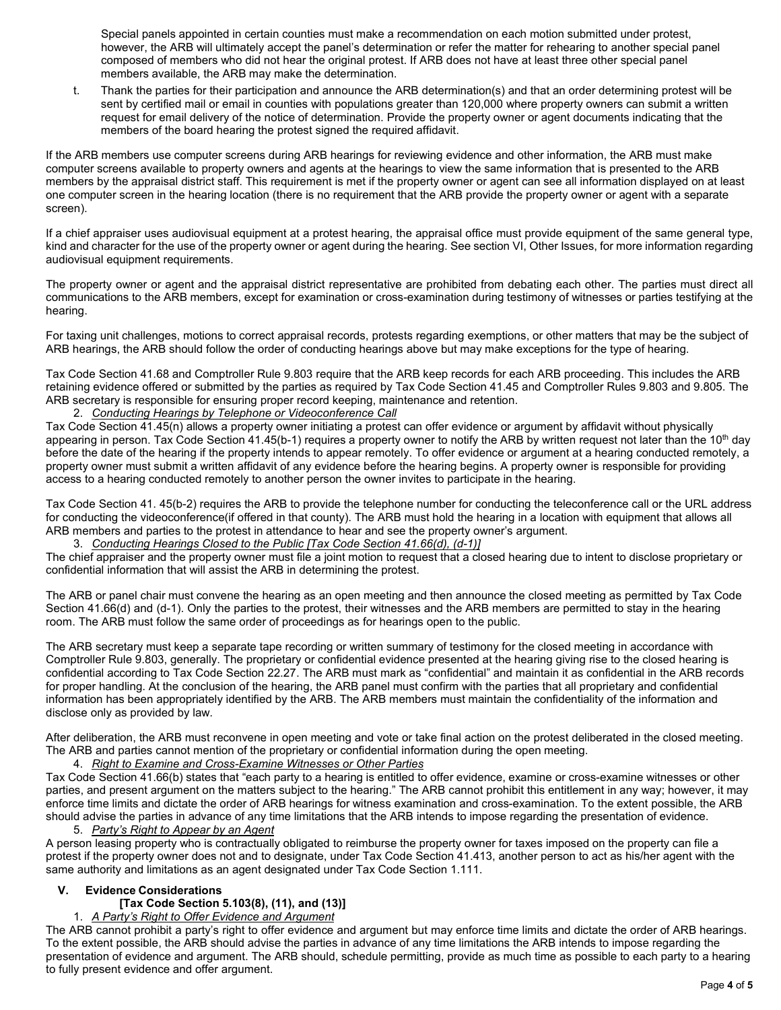Special panels appointed in certain counties must make a recommendation on each motion submitted under protest, however, the ARB will ultimately accept the panel's determination or refer the matter for rehearing to another special panel composed of members who did not hear the original protest. If ARB does not have at least three other special panel members available, the ARB may make the determination.

t. Thank the parties for their participation and announce the ARB determination(s) and that an order determining protest will be sent by certified mail or email in counties with populations greater than 120,000 where property owners can submit a written request for email delivery of the notice of determination. Provide the property owner or agent documents indicating that the members of the board hearing the protest signed the required affidavit.

If the ARB members use computer screens during ARB hearings for reviewing evidence and other information, the ARB must make computer screens available to property owners and agents at the hearings to view the same information that is presented to the ARB members by the appraisal district staff. This requirement is met if the property owner or agent can see all information displayed on at least one computer screen in the hearing location (there is no requirement that the ARB provide the property owner or agent with a separate screen).

If a chief appraiser uses audiovisual equipment at a protest hearing, the appraisal office must provide equipment of the same general type, kind and character for the use of the property owner or agent during the hearing. See section VI, Other Issues, for more information regarding audiovisual equipment requirements.

The property owner or agent and the appraisal district representative are prohibited from debating each other. The parties must direct all communications to the ARB members, except for examination or cross-examination during testimony of witnesses or parties testifying at the hearing.

For taxing unit challenges, motions to correct appraisal records, protests regarding exemptions, or other matters that may be the subject of ARB hearings, the ARB should follow the order of conducting hearings above but may make exceptions for the type of hearing.

Tax Code Section 41.68 and Comptroller Rule 9.803 require that the ARB keep records for each ARB proceeding. This includes the ARB retaining evidence offered or submitted by the parties as required by Tax Code Section 41.45 and Comptroller Rules 9.803 and 9.805. The ARB secretary is responsible for ensuring proper record keeping, maintenance and retention.

### 2. *Conducting Hearings by Telephone or Videoconference Call*

Tax Code Section 41.45(n) allows a property owner initiating a protest can offer evidence or argument by affidavit without physically appearing in person. Tax Code Section 41.45(b-1) requires a property owner to notify the ARB by written request not later than the 10<sup>th</sup> day before the date of the hearing if the property intends to appear remotely. To offer evidence or argument at a hearing conducted remotely, a property owner must submit a written affidavit of any evidence before the hearing begins. A property owner is responsible for providing access to a hearing conducted remotely to another person the owner invites to participate in the hearing.

Tax Code Section 41. 45(b-2) requires the ARB to provide the telephone number for conducting the teleconference call or the URL address for conducting the videoconference(if offered in that county). The ARB must hold the hearing in a location with equipment that allows all ARB members and parties to the protest in attendance to hear and see the property owner's argument.

### 3. *Conducting Hearings Closed to the Public [Tax Code Section 41.66(d), (d-1)]*

The chief appraiser and the property owner must file a joint motion to request that a closed hearing due to intent to disclose proprietary or confidential information that will assist the ARB in determining the protest.

The ARB or panel chair must convene the hearing as an open meeting and then announce the closed meeting as permitted by Tax Code Section 41.66(d) and (d-1). Only the parties to the protest, their witnesses and the ARB members are permitted to stay in the hearing room. The ARB must follow the same order of proceedings as for hearings open to the public.

The ARB secretary must keep a separate tape recording or written summary of testimony for the closed meeting in accordance with Comptroller Rule 9.803, generally. The proprietary or confidential evidence presented at the hearing giving rise to the closed hearing is confidential according to Tax Code Section 22.27. The ARB must mark as "confidential" and maintain it as confidential in the ARB records for proper handling. At the conclusion of the hearing, the ARB panel must confirm with the parties that all proprietary and confidential information has been appropriately identified by the ARB. The ARB members must maintain the confidentiality of the information and disclose only as provided by law.

After deliberation, the ARB must reconvene in open meeting and vote or take final action on the protest deliberated in the closed meeting. The ARB and parties cannot mention of the proprietary or confidential information during the open meeting.

### 4. *Right to Examine and Cross-Examine Witnesses or Other Parties*

Tax Code Section 41.66(b) states that "each party to a hearing is entitled to offer evidence, examine or cross-examine witnesses or other parties, and present argument on the matters subject to the hearing." The ARB cannot prohibit this entitlement in any way; however, it may enforce time limits and dictate the order of ARB hearings for witness examination and cross-examination. To the extent possible, the ARB should advise the parties in advance of any time limitations that the ARB intends to impose regarding the presentation of evidence.

### 5. *Party's Right to Appear by an Agent*

A person leasing property who is contractually obligated to reimburse the property owner for taxes imposed on the property can file a protest if the property owner does not and to designate, under Tax Code Section 41.413, another person to act as his/her agent with the same authority and limitations as an agent designated under Tax Code Section 1.111.

# **V. Evidence Considerations**

# **[Tax Code Section 5.103(8), (11), and (13)]**

### 1. *A Party's Right to Offer Evidence and Argument*

The ARB cannot prohibit a party's right to offer evidence and argument but may enforce time limits and dictate the order of ARB hearings. To the extent possible, the ARB should advise the parties in advance of any time limitations the ARB intends to impose regarding the presentation of evidence and argument. The ARB should, schedule permitting, provide as much time as possible to each party to a hearing to fully present evidence and offer argument.